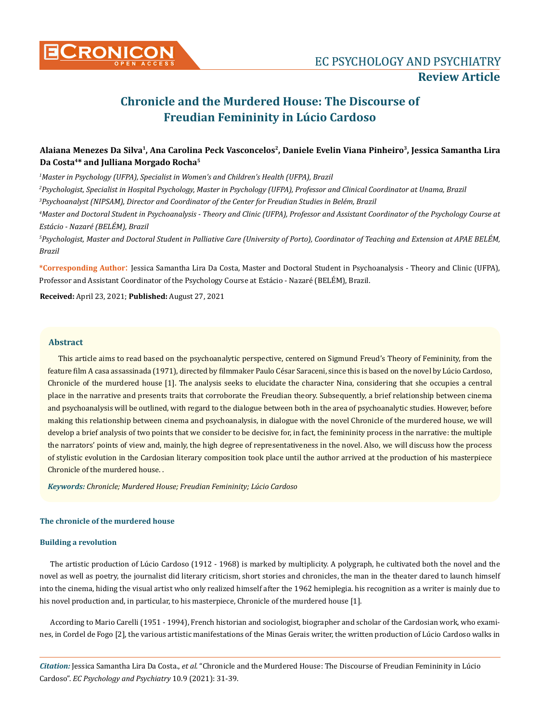

**Review Article**

# **Chronicle and the Murdered House: The Discourse of Freudian Femininity in Lúcio Cardoso**

# **Alaiana Menezes Da Silva1, Ana Carolina Peck Vasconcelos2, Daniele Evelin Viana Pinheiro3, Jessica Samantha Lira Da Costa4\* and Julliana Morgado Rocha5**

 *Master in Psychology (UFPA), Specialist in Women's and Children's Health (UFPA), Brazil Psychologist, Specialist in Hospital Psychology, Master in Psychology (UFPA), Professor and Clinical Coordinator at Unama, Brazil Psychoanalyst (NIPSAM), Director and Coordinator of the Center for Freudian Studies in Belém, Brazil Master and Doctoral Student in Psychoanalysis - Theory and Clinic (UFPA), Professor and Assistant Coordinator of the Psychology Course at Estácio - Nazaré (BELÉM), Brazil*

*5 Psychologist, Master and Doctoral Student in Palliative Care (University of Porto), Coordinator of Teaching and Extension at APAE BELÉM, Brazil*

**\*Corresponding Author**: Jessica Samantha Lira Da Costa, Master and Doctoral Student in Psychoanalysis - Theory and Clinic (UFPA), Professor and Assistant Coordinator of the Psychology Course at Estácio - Nazaré (BELÉM), Brazil.

**Received:** April 23, 2021; **Published:** August 27, 2021

### **Abstract**

This article aims to read based on the psychoanalytic perspective, centered on Sigmund Freud's Theory of Femininity, from the feature film A casa assassinada (1971), directed by filmmaker Paulo César Saraceni, since this is based on the novel by Lúcio Cardoso, Chronicle of the murdered house [1]. The analysis seeks to elucidate the character Nina, considering that she occupies a central place in the narrative and presents traits that corroborate the Freudian theory. Subsequently, a brief relationship between cinema and psychoanalysis will be outlined, with regard to the dialogue between both in the area of psychoanalytic studies. However, before making this relationship between cinema and psychoanalysis, in dialogue with the novel Chronicle of the murdered house, we will develop a brief analysis of two points that we consider to be decisive for, in fact, the femininity process in the narrative: the multiple the narrators' points of view and, mainly, the high degree of representativeness in the novel. Also, we will discuss how the process of stylistic evolution in the Cardosian literary composition took place until the author arrived at the production of his masterpiece Chronicle of the murdered house. .

*Keywords: Chronicle; Murdered House; Freudian Femininity; Lúcio Cardoso*

## **The chronicle of the murdered house**

### **Building a revolution**

The artistic production of Lúcio Cardoso (1912 - 1968) is marked by multiplicity. A polygraph, he cultivated both the novel and the novel as well as poetry, the journalist did literary criticism, short stories and chronicles, the man in the theater dared to launch himself into the cinema, hiding the visual artist who only realized himself after the 1962 hemiplegia. his recognition as a writer is mainly due to his novel production and, in particular, to his masterpiece, Chronicle of the murdered house [1].

According to Mario Carelli (1951 - 1994), French historian and sociologist, biographer and scholar of the Cardosian work, who examines, in Cordel de Fogo [2], the various artistic manifestations of the Minas Gerais writer, the written production of Lúcio Cardoso walks in

*Citation:* Jessica Samantha Lira Da Costa., *et al*. "Chronicle and the Murdered House: The Discourse of Freudian Femininity in Lúcio Cardoso". *EC Psychology and Psychiatry* 10.9 (2021): 31-39.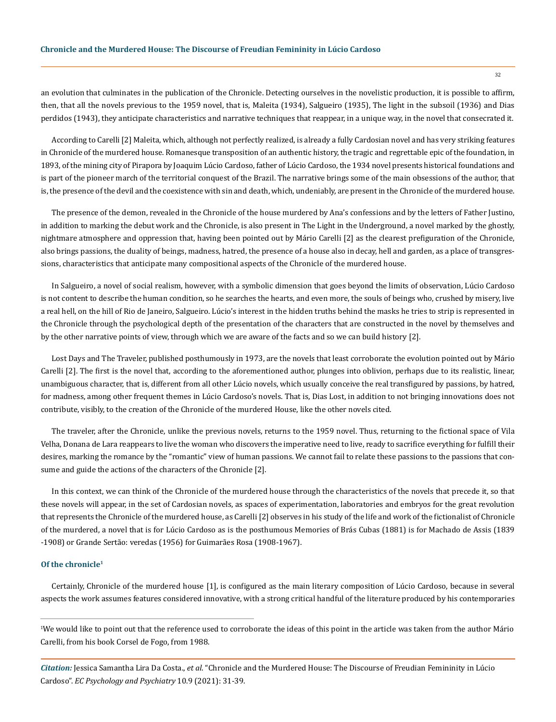an evolution that culminates in the publication of the Chronicle. Detecting ourselves in the novelistic production, it is possible to affirm, then, that all the novels previous to the 1959 novel, that is, Maleita (1934), Salgueiro (1935), The light in the subsoil (1936) and Dias perdidos (1943), they anticipate characteristics and narrative techniques that reappear, in a unique way, in the novel that consecrated it.

According to Carelli [2] Maleita, which, although not perfectly realized, is already a fully Cardosian novel and has very striking features in Chronicle of the murdered house. Romanesque transposition of an authentic history, the tragic and regrettable epic of the foundation, in 1893, of the mining city of Pirapora by Joaquim Lúcio Cardoso, father of Lúcio Cardoso, the 1934 novel presents historical foundations and is part of the pioneer march of the territorial conquest of the Brazil. The narrative brings some of the main obsessions of the author, that is, the presence of the devil and the coexistence with sin and death, which, undeniably, are present in the Chronicle of the murdered house.

The presence of the demon, revealed in the Chronicle of the house murdered by Ana's confessions and by the letters of Father Justino, in addition to marking the debut work and the Chronicle, is also present in The Light in the Underground, a novel marked by the ghostly, nightmare atmosphere and oppression that, having been pointed out by Mário Carelli [2] as the clearest prefiguration of the Chronicle, also brings passions, the duality of beings, madness, hatred, the presence of a house also in decay, hell and garden, as a place of transgressions, characteristics that anticipate many compositional aspects of the Chronicle of the murdered house.

In Salgueiro, a novel of social realism, however, with a symbolic dimension that goes beyond the limits of observation, Lúcio Cardoso is not content to describe the human condition, so he searches the hearts, and even more, the souls of beings who, crushed by misery, live a real hell, on the hill of Rio de Janeiro, Salgueiro. Lúcio's interest in the hidden truths behind the masks he tries to strip is represented in the Chronicle through the psychological depth of the presentation of the characters that are constructed in the novel by themselves and by the other narrative points of view, through which we are aware of the facts and so we can build history [2].

Lost Days and The Traveler, published posthumously in 1973, are the novels that least corroborate the evolution pointed out by Mário Carelli [2]. The first is the novel that, according to the aforementioned author, plunges into oblivion, perhaps due to its realistic, linear, unambiguous character, that is, different from all other Lúcio novels, which usually conceive the real transfigured by passions, by hatred, for madness, among other frequent themes in Lúcio Cardoso's novels. That is, Dias Lost, in addition to not bringing innovations does not contribute, visibly, to the creation of the Chronicle of the murdered House, like the other novels cited.

The traveler, after the Chronicle, unlike the previous novels, returns to the 1959 novel. Thus, returning to the fictional space of Vila Velha, Donana de Lara reappears to live the woman who discovers the imperative need to live, ready to sacrifice everything for fulfill their desires, marking the romance by the "romantic" view of human passions. We cannot fail to relate these passions to the passions that consume and guide the actions of the characters of the Chronicle [2].

In this context, we can think of the Chronicle of the murdered house through the characteristics of the novels that precede it, so that these novels will appear, in the set of Cardosian novels, as spaces of experimentation, laboratories and embryos for the great revolution that represents the Chronicle of the murdered house, as Carelli [2] observes in his study of the life and work of the fictionalist of Chronicle of the murdered, a novel that is for Lúcio Cardoso as is the posthumous Memories of Brás Cubas (1881) is for Machado de Assis (1839 -1908) or Grande Sertão: veredas (1956) for Guimarães Rosa (1908-1967).

# **Of the chronicle1**

Certainly, Chronicle of the murdered house [1], is configured as the main literary composition of Lúcio Cardoso, because in several aspects the work assumes features considered innovative, with a strong critical handful of the literature produced by his contemporaries

1 We would like to point out that the reference used to corroborate the ideas of this point in the article was taken from the author Mário Carelli, from his book Corsel de Fogo, from 1988.

*Citation:* Jessica Samantha Lira Da Costa., *et al*. "Chronicle and the Murdered House: The Discourse of Freudian Femininity in Lúcio Cardoso". *EC Psychology and Psychiatry* 10.9 (2021): 31-39.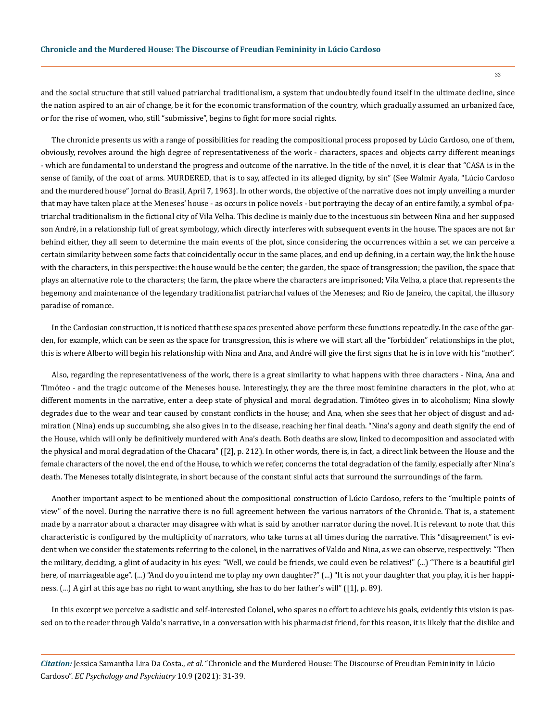and the social structure that still valued patriarchal traditionalism, a system that undoubtedly found itself in the ultimate decline, since the nation aspired to an air of change, be it for the economic transformation of the country, which gradually assumed an urbanized face, or for the rise of women, who, still "submissive", begins to fight for more social rights.

The chronicle presents us with a range of possibilities for reading the compositional process proposed by Lúcio Cardoso, one of them, obviously, revolves around the high degree of representativeness of the work - characters, spaces and objects carry different meanings - which are fundamental to understand the progress and outcome of the narrative. In the title of the novel, it is clear that "CASA is in the sense of family, of the coat of arms. MURDERED, that is to say, affected in its alleged dignity, by sin" (See Walmir Ayala, "Lúcio Cardoso and the murdered house" Jornal do Brasil, April 7, 1963). In other words, the objective of the narrative does not imply unveiling a murder that may have taken place at the Meneses' house - as occurs in police novels - but portraying the decay of an entire family, a symbol of patriarchal traditionalism in the fictional city of Vila Velha. This decline is mainly due to the incestuous sin between Nina and her supposed son André, in a relationship full of great symbology, which directly interferes with subsequent events in the house. The spaces are not far behind either, they all seem to determine the main events of the plot, since considering the occurrences within a set we can perceive a certain similarity between some facts that coincidentally occur in the same places, and end up defining, in a certain way, the link the house with the characters, in this perspective: the house would be the center; the garden, the space of transgression; the pavilion, the space that plays an alternative role to the characters; the farm, the place where the characters are imprisoned; Vila Velha, a place that represents the hegemony and maintenance of the legendary traditionalist patriarchal values of the Meneses; and Rio de Janeiro, the capital, the illusory paradise of romance.

In the Cardosian construction, it is noticed that these spaces presented above perform these functions repeatedly. In the case of the garden, for example, which can be seen as the space for transgression, this is where we will start all the "forbidden" relationships in the plot, this is where Alberto will begin his relationship with Nina and Ana, and André will give the first signs that he is in love with his "mother".

Also, regarding the representativeness of the work, there is a great similarity to what happens with three characters - Nina, Ana and Timóteo - and the tragic outcome of the Meneses house. Interestingly, they are the three most feminine characters in the plot, who at different moments in the narrative, enter a deep state of physical and moral degradation. Timóteo gives in to alcoholism; Nina slowly degrades due to the wear and tear caused by constant conflicts in the house; and Ana, when she sees that her object of disgust and admiration (Nina) ends up succumbing, she also gives in to the disease, reaching her final death. "Nina's agony and death signify the end of the House, which will only be definitively murdered with Ana's death. Both deaths are slow, linked to decomposition and associated with the physical and moral degradation of the Chacara" ([2], p. 212). In other words, there is, in fact, a direct link between the House and the female characters of the novel, the end of the House, to which we refer, concerns the total degradation of the family, especially after Nina's death. The Meneses totally disintegrate, in short because of the constant sinful acts that surround the surroundings of the farm.

Another important aspect to be mentioned about the compositional construction of Lúcio Cardoso, refers to the "multiple points of view" of the novel. During the narrative there is no full agreement between the various narrators of the Chronicle. That is, a statement made by a narrator about a character may disagree with what is said by another narrator during the novel. It is relevant to note that this characteristic is configured by the multiplicity of narrators, who take turns at all times during the narrative. This "disagreement" is evident when we consider the statements referring to the colonel, in the narratives of Valdo and Nina, as we can observe, respectively: "Then the military, deciding, a glint of audacity in his eyes: "Well, we could be friends, we could even be relatives!" (...) "There is a beautiful girl here, of marriageable age". (...) "And do you intend me to play my own daughter?" (...) "It is not your daughter that you play, it is her happiness. (...) A girl at this age has no right to want anything, she has to do her father's will" ([1], p. 89).

In this excerpt we perceive a sadistic and self-interested Colonel, who spares no effort to achieve his goals, evidently this vision is passed on to the reader through Valdo's narrative, in a conversation with his pharmacist friend, for this reason, it is likely that the dislike and

*Citation:* Jessica Samantha Lira Da Costa., *et al*. "Chronicle and the Murdered House: The Discourse of Freudian Femininity in Lúcio Cardoso". *EC Psychology and Psychiatry* 10.9 (2021): 31-39.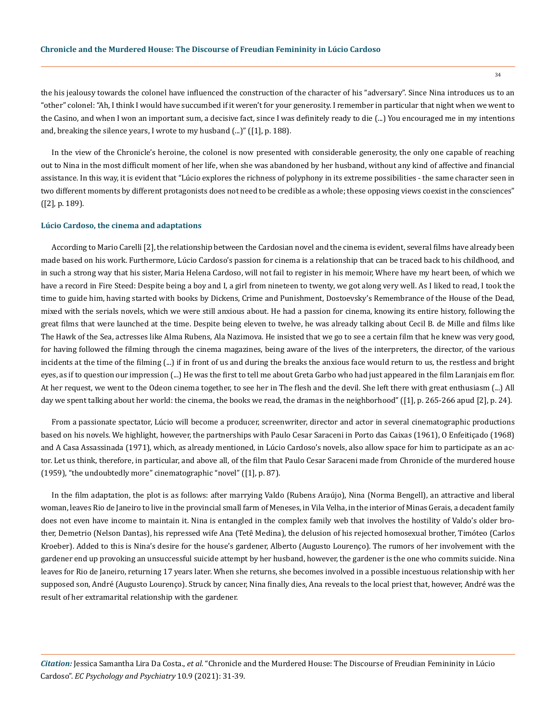the his jealousy towards the colonel have influenced the construction of the character of his "adversary". Since Nina introduces us to an "other" colonel: "Ah, I think I would have succumbed if it weren't for your generosity. I remember in particular that night when we went to the Casino, and when I won an important sum, a decisive fact, since I was definitely ready to die (...) You encouraged me in my intentions and, breaking the silence years, I wrote to my husband (...)" ([1], p. 188).

In the view of the Chronicle's heroine, the colonel is now presented with considerable generosity, the only one capable of reaching out to Nina in the most difficult moment of her life, when she was abandoned by her husband, without any kind of affective and financial assistance. In this way, it is evident that "Lúcio explores the richness of polyphony in its extreme possibilities - the same character seen in two different moments by different protagonists does not need to be credible as a whole; these opposing views coexist in the consciences" ([2], p. 189).

#### **Lúcio Cardoso, the cinema and adaptations**

According to Mario Carelli [2], the relationship between the Cardosian novel and the cinema is evident, several films have already been made based on his work. Furthermore, Lúcio Cardoso's passion for cinema is a relationship that can be traced back to his childhood, and in such a strong way that his sister, Maria Helena Cardoso, will not fail to register in his memoir, Where have my heart been, of which we have a record in Fire Steed: Despite being a boy and I, a girl from nineteen to twenty, we got along very well. As I liked to read, I took the time to guide him, having started with books by Dickens, Crime and Punishment, Dostoevsky's Remembrance of the House of the Dead, mixed with the serials novels, which we were still anxious about. He had a passion for cinema, knowing its entire history, following the great films that were launched at the time. Despite being eleven to twelve, he was already talking about Cecil B. de Mille and films like The Hawk of the Sea, actresses like Alma Rubens, Ala Nazimova. He insisted that we go to see a certain film that he knew was very good, for having followed the filming through the cinema magazines, being aware of the lives of the interpreters, the director, of the various incidents at the time of the filming (...) if in front of us and during the breaks the anxious face would return to us, the restless and bright eyes, as if to question our impression (...) He was the first to tell me about Greta Garbo who had just appeared in the film Laranjais em flor. At her request, we went to the Odeon cinema together, to see her in The flesh and the devil. She left there with great enthusiasm (...) All day we spent talking about her world: the cinema, the books we read, the dramas in the neighborhood" ([1], p. 265-266 apud [2], p. 24).

From a passionate spectator, Lúcio will become a producer, screenwriter, director and actor in several cinematographic productions based on his novels. We highlight, however, the partnerships with Paulo Cesar Saraceni in Porto das Caixas (1961), O Enfeitiçado (1968) and A Casa Assassinada (1971), which, as already mentioned, in Lúcio Cardoso's novels, also allow space for him to participate as an actor. Let us think, therefore, in particular, and above all, of the film that Paulo Cesar Saraceni made from Chronicle of the murdered house (1959), "the undoubtedly more" cinematographic "novel" ([1], p. 87).

In the film adaptation, the plot is as follows: after marrying Valdo (Rubens Araújo), Nina (Norma Bengell), an attractive and liberal woman, leaves Rio de Janeiro to live in the provincial small farm of Meneses, in Vila Velha, in the interior of Minas Gerais, a decadent family does not even have income to maintain it. Nina is entangled in the complex family web that involves the hostility of Valdo's older brother, Demetrio (Nelson Dantas), his repressed wife Ana (Tetê Medina), the delusion of his rejected homosexual brother, Timóteo (Carlos Kroeber). Added to this is Nina's desire for the house's gardener, Alberto (Augusto Lourenço). The rumors of her involvement with the gardener end up provoking an unsuccessful suicide attempt by her husband, however, the gardener is the one who commits suicide. Nina leaves for Rio de Janeiro, returning 17 years later. When she returns, she becomes involved in a possible incestuous relationship with her supposed son, André (Augusto Lourenço). Struck by cancer, Nina finally dies, Ana reveals to the local priest that, however, André was the result of her extramarital relationship with the gardener.

*Citation:* Jessica Samantha Lira Da Costa., *et al*. "Chronicle and the Murdered House: The Discourse of Freudian Femininity in Lúcio Cardoso". *EC Psychology and Psychiatry* 10.9 (2021): 31-39.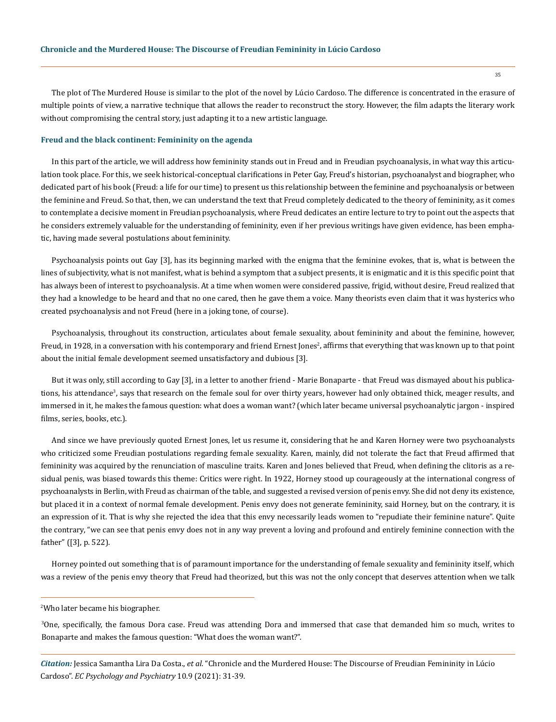The plot of The Murdered House is similar to the plot of the novel by Lúcio Cardoso. The difference is concentrated in the erasure of multiple points of view, a narrative technique that allows the reader to reconstruct the story. However, the film adapts the literary work without compromising the central story, just adapting it to a new artistic language.

#### **Freud and the black continent: Femininity on the agenda**

In this part of the article, we will address how femininity stands out in Freud and in Freudian psychoanalysis, in what way this articulation took place. For this, we seek historical-conceptual clarifications in Peter Gay, Freud's historian, psychoanalyst and biographer, who dedicated part of his book (Freud: a life for our time) to present us this relationship between the feminine and psychoanalysis or between the feminine and Freud. So that, then, we can understand the text that Freud completely dedicated to the theory of femininity, as it comes to contemplate a decisive moment in Freudian psychoanalysis, where Freud dedicates an entire lecture to try to point out the aspects that he considers extremely valuable for the understanding of femininity, even if her previous writings have given evidence, has been emphatic, having made several postulations about femininity.

Psychoanalysis points out Gay [3], has its beginning marked with the enigma that the feminine evokes, that is, what is between the lines of subjectivity, what is not manifest, what is behind a symptom that a subject presents, it is enigmatic and it is this specific point that has always been of interest to psychoanalysis. At a time when women were considered passive, frigid, without desire, Freud realized that they had a knowledge to be heard and that no one cared, then he gave them a voice. Many theorists even claim that it was hysterics who created psychoanalysis and not Freud (here in a joking tone, of course).

Psychoanalysis, throughout its construction, articulates about female sexuality, about femininity and about the feminine, however, Freud, in 1928, in a conversation with his contemporary and friend Ernest Jones<sup>2</sup>, affirms that everything that was known up to that point about the initial female development seemed unsatisfactory and dubious [3].

But it was only, still according to Gay [3], in a letter to another friend - Marie Bonaparte - that Freud was dismayed about his publications, his attendance<sup>3</sup>, says that research on the female soul for over thirty years, however had only obtained thick, meager results, and immersed in it, he makes the famous question: what does a woman want? (which later became universal psychoanalytic jargon - inspired films, series, books, etc.).

And since we have previously quoted Ernest Jones, let us resume it, considering that he and Karen Horney were two psychoanalysts who criticized some Freudian postulations regarding female sexuality. Karen, mainly, did not tolerate the fact that Freud affirmed that femininity was acquired by the renunciation of masculine traits. Karen and Jones believed that Freud, when defining the clitoris as a residual penis, was biased towards this theme: Critics were right. In 1922, Horney stood up courageously at the international congress of psychoanalysts in Berlin, with Freud as chairman of the table, and suggested a revised version of penis envy. She did not deny its existence, but placed it in a context of normal female development. Penis envy does not generate femininity, said Horney, but on the contrary, it is an expression of it. That is why she rejected the idea that this envy necessarily leads women to "repudiate their feminine nature". Quite the contrary, "we can see that penis envy does not in any way prevent a loving and profound and entirely feminine connection with the father" ([3], p. 522).

Horney pointed out something that is of paramount importance for the understanding of female sexuality and femininity itself, which was a review of the penis envy theory that Freud had theorized, but this was not the only concept that deserves attention when we talk

2 Who later became his biographer.

3 One, specifically, the famous Dora case. Freud was attending Dora and immersed that case that demanded him so much, writes to Bonaparte and makes the famous question: "What does the woman want?".

*Citation:* Jessica Samantha Lira Da Costa., *et al*. "Chronicle and the Murdered House: The Discourse of Freudian Femininity in Lúcio Cardoso". *EC Psychology and Psychiatry* 10.9 (2021): 31-39.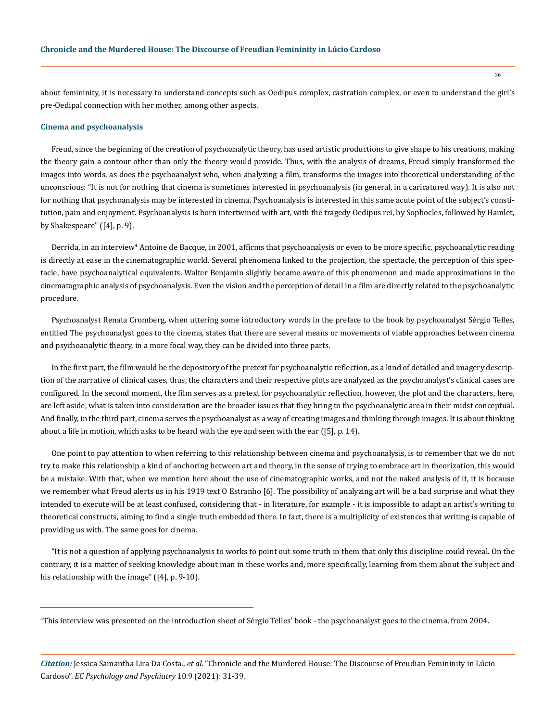about femininity, it is necessary to understand concepts such as Oedipus complex, castration complex, or even to understand the girl's pre-Oedipal connection with her mother, among other aspects.

#### **Cinema and psychoanalysis**

Freud, since the beginning of the creation of psychoanalytic theory, has used artistic productions to give shape to his creations, making the theory gain a contour other than only the theory would provide. Thus, with the analysis of dreams, Freud simply transformed the images into words, as does the psychoanalyst who, when analyzing a film, transforms the images into theoretical understanding of the unconscious: "It is not for nothing that cinema is sometimes interested in psychoanalysis (in general, in a caricatured way). It is also not for nothing that psychoanalysis may be interested in cinema. Psychoanalysis is interested in this same acute point of the subject's constitution, pain and enjoyment. Psychoanalysis is born intertwined with art, with the tragedy Oedipus rei, by Sophocles, followed by Hamlet, by Shakespeare" ([4], p. 9).

Derrida, in an interview<sup>4</sup> Antoine de Bacque, in 2001, affirms that psychoanalysis or even to be more specific, psychoanalytic reading is directly at ease in the cinematographic world. Several phenomena linked to the projection, the spectacle, the perception of this spectacle, have psychoanalytical equivalents. Walter Benjamin slightly became aware of this phenomenon and made approximations in the cinematographic analysis of psychoanalysis. Even the vision and the perception of detail in a film are directly related to the psychoanalytic procedure.

Psychoanalyst Renata Cromberg, when uttering some introductory words in the preface to the book by psychoanalyst Sérgio Telles, entitled The psychoanalyst goes to the cinema, states that there are several means or movements of viable approaches between cinema and psychoanalytic theory, in a more focal way, they can be divided into three parts.

In the first part, the film would be the depository of the pretext for psychoanalytic reflection, as a kind of detailed and imagery description of the narrative of clinical cases, thus, the characters and their respective plots are analyzed as the psychoanalyst's clinical cases are configured. In the second moment, the film serves as a pretext for psychoanalytic reflection, however, the plot and the characters, here, are left aside, what is taken into consideration are the broader issues that they bring to the psychoanalytic area in their midst conceptual. And finally, in the third part, cinema serves the psychoanalyst as a way of creating images and thinking through images. It is about thinking about a life in motion, which asks to be heard with the eye and seen with the ear ([5], p. 14).

One point to pay attention to when referring to this relationship between cinema and psychoanalysis, is to remember that we do not try to make this relationship a kind of anchoring between art and theory, in the sense of trying to embrace art in theorization, this would be a mistake. With that, when we mention here about the use of cinematographic works, and not the naked analysis of it, it is because we remember what Freud alerts us in his 1919 text O Estranho [6]. The possibility of analyzing art will be a bad surprise and what they intended to execute will be at least confused, considering that - in literature, for example - it is impossible to adapt an artist's writing to theoretical constructs, aiming to find a single truth embedded there. In fact, there is a multiplicity of existences that writing is capable of providing us with. The same goes for cinema.

"It is not a question of applying psychoanalysis to works to point out some truth in them that only this discipline could reveal. On the contrary, it is a matter of seeking knowledge about man in these works and, more specifically, learning from them about the subject and his relationship with the image" ([4], p. 9-10).

<sup>4</sup> This interview was presented on the introduction sheet of Sérgio Telles' book - the psychoanalyst goes to the cinema, from 2004.

*Citation:* Jessica Samantha Lira Da Costa., *et al*. "Chronicle and the Murdered House: The Discourse of Freudian Femininity in Lúcio Cardoso". *EC Psychology and Psychiatry* 10.9 (2021): 31-39.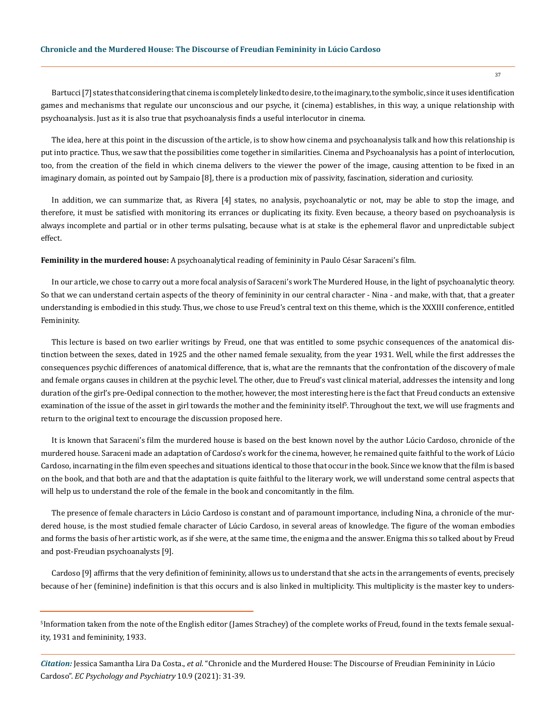Bartucci [7] states that considering that cinema is completely linked to desire, to the imaginary, to the symbolic, since it uses identification games and mechanisms that regulate our unconscious and our psyche, it (cinema) establishes, in this way, a unique relationship with psychoanalysis. Just as it is also true that psychoanalysis finds a useful interlocutor in cinema.

The idea, here at this point in the discussion of the article, is to show how cinema and psychoanalysis talk and how this relationship is put into practice. Thus, we saw that the possibilities come together in similarities. Cinema and Psychoanalysis has a point of interlocution, too, from the creation of the field in which cinema delivers to the viewer the power of the image, causing attention to be fixed in an imaginary domain, as pointed out by Sampaio [8], there is a production mix of passivity, fascination, sideration and curiosity.

In addition, we can summarize that, as Rivera [4] states, no analysis, psychoanalytic or not, may be able to stop the image, and therefore, it must be satisfied with monitoring its errances or duplicating its fixity. Even because, a theory based on psychoanalysis is always incomplete and partial or in other terms pulsating, because what is at stake is the ephemeral flavor and unpredictable subject effect.

**Feminility in the murdered house:** A psychoanalytical reading of femininity in Paulo César Saraceni's film.

In our article, we chose to carry out a more focal analysis of Saraceni's work The Murdered House, in the light of psychoanalytic theory. So that we can understand certain aspects of the theory of femininity in our central character - Nina - and make, with that, that a greater understanding is embodied in this study. Thus, we chose to use Freud's central text on this theme, which is the XXXIII conference, entitled Femininity.

This lecture is based on two earlier writings by Freud, one that was entitled to some psychic consequences of the anatomical distinction between the sexes, dated in 1925 and the other named female sexuality, from the year 1931. Well, while the first addresses the consequences psychic differences of anatomical difference, that is, what are the remnants that the confrontation of the discovery of male and female organs causes in children at the psychic level. The other, due to Freud's vast clinical material, addresses the intensity and long duration of the girl's pre-Oedipal connection to the mother, however, the most interesting here is the fact that Freud conducts an extensive examination of the issue of the asset in girl towards the mother and the femininity itself<sup>s</sup>. Throughout the text, we will use fragments and return to the original text to encourage the discussion proposed here.

It is known that Saraceni's film the murdered house is based on the best known novel by the author Lúcio Cardoso, chronicle of the murdered house. Saraceni made an adaptation of Cardoso's work for the cinema, however, he remained quite faithful to the work of Lúcio Cardoso, incarnating in the film even speeches and situations identical to those that occur in the book. Since we know that the film is based on the book, and that both are and that the adaptation is quite faithful to the literary work, we will understand some central aspects that will help us to understand the role of the female in the book and concomitantly in the film.

The presence of female characters in Lúcio Cardoso is constant and of paramount importance, including Nina, a chronicle of the murdered house, is the most studied female character of Lúcio Cardoso, in several areas of knowledge. The figure of the woman embodies and forms the basis of her artistic work, as if she were, at the same time, the enigma and the answer. Enigma this so talked about by Freud and post-Freudian psychoanalysts [9].

Cardoso [9] affirms that the very definition of femininity, allows us to understand that she acts in the arrangements of events, precisely because of her (feminine) indefinition is that this occurs and is also linked in multiplicity. This multiplicity is the master key to unders-

<sup>5</sup> Information taken from the note of the English editor (James Strachey) of the complete works of Freud, found in the texts female sexuality, 1931 and femininity, 1933.

*Citation:* Jessica Samantha Lira Da Costa., *et al*. "Chronicle and the Murdered House: The Discourse of Freudian Femininity in Lúcio Cardoso". *EC Psychology and Psychiatry* 10.9 (2021): 31-39.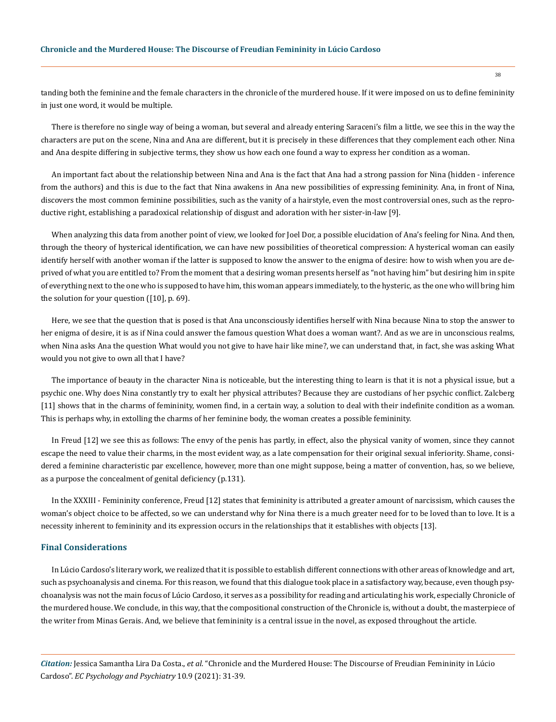tanding both the feminine and the female characters in the chronicle of the murdered house. If it were imposed on us to define femininity in just one word, it would be multiple.

There is therefore no single way of being a woman, but several and already entering Saraceni's film a little, we see this in the way the characters are put on the scene, Nina and Ana are different, but it is precisely in these differences that they complement each other. Nina and Ana despite differing in subjective terms, they show us how each one found a way to express her condition as a woman.

An important fact about the relationship between Nina and Ana is the fact that Ana had a strong passion for Nina (hidden - inference from the authors) and this is due to the fact that Nina awakens in Ana new possibilities of expressing femininity. Ana, in front of Nina, discovers the most common feminine possibilities, such as the vanity of a hairstyle, even the most controversial ones, such as the reproductive right, establishing a paradoxical relationship of disgust and adoration with her sister-in-law [9].

When analyzing this data from another point of view, we looked for Joel Dor, a possible elucidation of Ana's feeling for Nina. And then, through the theory of hysterical identification, we can have new possibilities of theoretical compression: A hysterical woman can easily identify herself with another woman if the latter is supposed to know the answer to the enigma of desire: how to wish when you are deprived of what you are entitled to? From the moment that a desiring woman presents herself as "not having him" but desiring him in spite of everything next to the one who is supposed to have him, this woman appears immediately, to the hysteric, as the one who will bring him the solution for your question ([10], p. 69).

Here, we see that the question that is posed is that Ana unconsciously identifies herself with Nina because Nina to stop the answer to her enigma of desire, it is as if Nina could answer the famous question What does a woman want?. And as we are in unconscious realms, when Nina asks Ana the question What would you not give to have hair like mine?, we can understand that, in fact, she was asking What would you not give to own all that I have?

The importance of beauty in the character Nina is noticeable, but the interesting thing to learn is that it is not a physical issue, but a psychic one. Why does Nina constantly try to exalt her physical attributes? Because they are custodians of her psychic conflict. Zalcberg [11] shows that in the charms of femininity, women find, in a certain way, a solution to deal with their indefinite condition as a woman. This is perhaps why, in extolling the charms of her feminine body, the woman creates a possible femininity.

In Freud [12] we see this as follows: The envy of the penis has partly, in effect, also the physical vanity of women, since they cannot escape the need to value their charms, in the most evident way, as a late compensation for their original sexual inferiority. Shame, considered a feminine characteristic par excellence, however, more than one might suppose, being a matter of convention, has, so we believe, as a purpose the concealment of genital deficiency (p.131).

In the XXXIII - Femininity conference, Freud [12] states that femininity is attributed a greater amount of narcissism, which causes the woman's object choice to be affected, so we can understand why for Nina there is a much greater need for to be loved than to love. It is a necessity inherent to femininity and its expression occurs in the relationships that it establishes with objects [13].

#### **Final Considerations**

In Lúcio Cardoso's literary work, we realized that it is possible to establish different connections with other areas of knowledge and art, such as psychoanalysis and cinema. For this reason, we found that this dialogue took place in a satisfactory way, because, even though psychoanalysis was not the main focus of Lúcio Cardoso, it serves as a possibility for reading and articulating his work, especially Chronicle of the murdered house. We conclude, in this way, that the compositional construction of the Chronicle is, without a doubt, the masterpiece of the writer from Minas Gerais. And, we believe that femininity is a central issue in the novel, as exposed throughout the article.

*Citation:* Jessica Samantha Lira Da Costa., *et al*. "Chronicle and the Murdered House: The Discourse of Freudian Femininity in Lúcio Cardoso". *EC Psychology and Psychiatry* 10.9 (2021): 31-39.